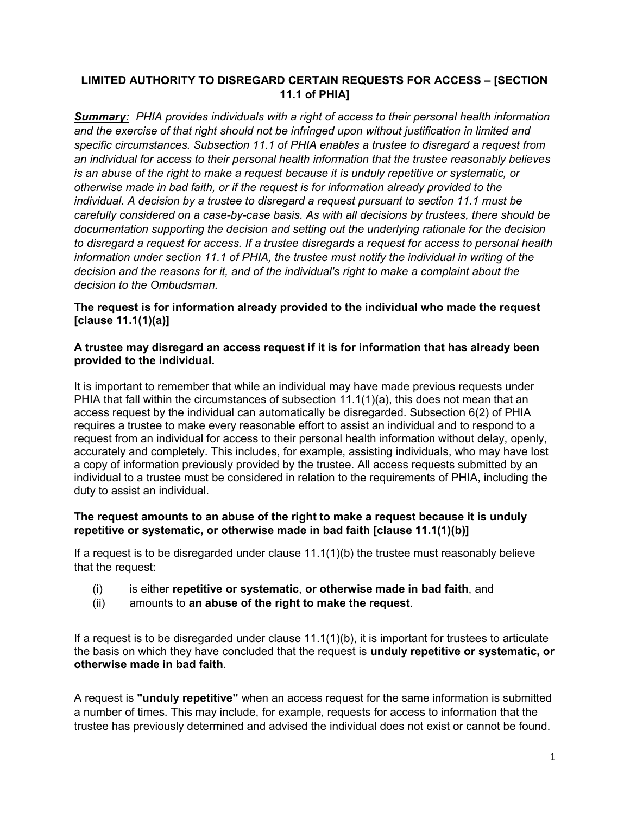# LIMITED AUTHORITY TO DISREGARD CERTAIN REQUESTS FOR ACCESS – [SECTION 11.1 of PHIA]

**Summary:** PHIA provides individuals with a right of access to their personal health information and the exercise of that right should not be infringed upon without justification in limited and specific circumstances. Subsection 11.1 of PHIA enables a trustee to disregard a request from an individual for access to their personal health information that the trustee reasonably believes is an abuse of the right to make a request because it is unduly repetitive or systematic, or otherwise made in bad faith, or if the request is for information already provided to the individual. A decision by a trustee to disregard a request pursuant to section 11.1 must be carefully considered on a case-by-case basis. As with all decisions by trustees, there should be documentation supporting the decision and setting out the underlying rationale for the decision to disregard a request for access. If a trustee disregards a request for access to personal health information under section 11.1 of PHIA, the trustee must notify the individual in writing of the decision and the reasons for it, and of the individual's right to make a complaint about the decision to the Ombudsman.

### The request is for information already provided to the individual who made the request [clause 11.1(1)(a)]

#### A trustee may disregard an access request if it is for information that has already been provided to the individual.

It is important to remember that while an individual may have made previous requests under PHIA that fall within the circumstances of subsection 11.1(1)(a), this does not mean that an access request by the individual can automatically be disregarded. Subsection 6(2) of PHIA requires a trustee to make every reasonable effort to assist an individual and to respond to a request from an individual for access to their personal health information without delay, openly, accurately and completely. This includes, for example, assisting individuals, who may have lost a copy of information previously provided by the trustee. All access requests submitted by an individual to a trustee must be considered in relation to the requirements of PHIA, including the duty to assist an individual.

## The request amounts to an abuse of the right to make a request because it is unduly repetitive or systematic, or otherwise made in bad faith [clause 11.1(1)(b)]

If a request is to be disregarded under clause 11.1(1)(b) the trustee must reasonably believe that the request:

- (i) is either repetitive or systematic, or otherwise made in bad faith, and
- (ii) amounts to an abuse of the right to make the request.

If a request is to be disregarded under clause 11.1(1)(b), it is important for trustees to articulate the basis on which they have concluded that the request is unduly repetitive or systematic, or otherwise made in bad faith.

A request is "unduly repetitive" when an access request for the same information is submitted a number of times. This may include, for example, requests for access to information that the trustee has previously determined and advised the individual does not exist or cannot be found.